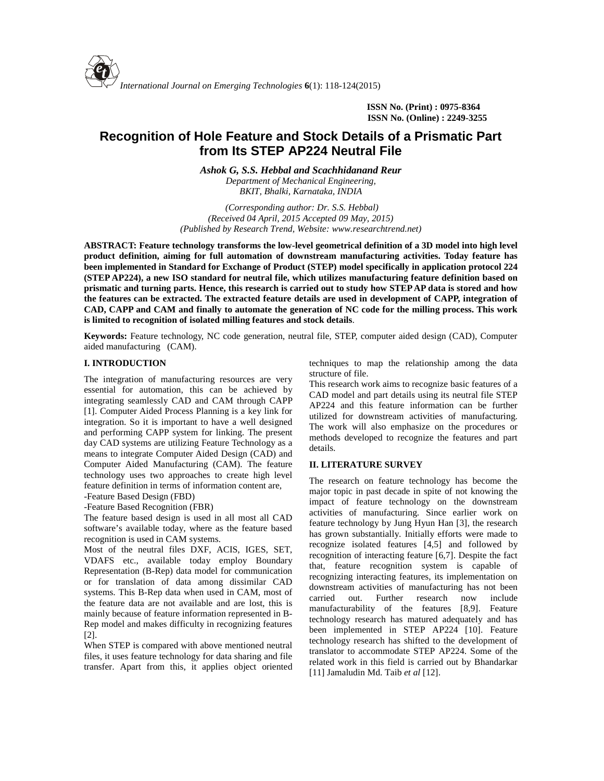**ISSN No. (Print) : 0975-8364 ISSN No. (Online) : 2249-3255**

# **Recognition of Hole Feature and Stock Details of a Prismatic Part from Its STEP AP224 Neutral File**

*Ashok G, S.S. Hebbal and Scachhidanand Reur*

*Department of Mechanical Engineering, BKIT, Bhalki, Karnataka, INDIA*

*(Corresponding author: Dr. S.S. Hebbal) (Received 04 April, 2015 Accepted 09 May, 2015) (Published by Research Trend, Website: <www.researchtrend.net>)*

**ABSTRACT: Feature technology transforms the low-level geometrical definition of a 3D model into high level product definition, aiming for full automation of downstream manufacturing activities. Today feature has been implemented in Standard for Exchange of Product (STEP) model specifically in application protocol 224 (STEP AP224), a new ISO standard for neutral file, which utilizes manufacturing feature definition based on prismatic and turning parts. Hence, this research is carried out to study how STEP AP data is stored and how the features can be extracted. The extracted feature details are used in development of CAPP, integration of CAD, CAPP and CAM and finally to automate the generation of NC code for the milling process. This work is limited to recognition of isolated milling features and stock details**.

**Keywords:** Feature technology, NC code generation, neutral file, STEP, computer aided design (CAD), Computer aided manufacturing (CAM).

## **I. INTRODUCTION**

The integration of manufacturing resources are very essential for automation, this can be achieved by integrating seamlessly CAD and CAM through CAPP [1]. Computer Aided Process Planning is a key link for integration. So it is important to have a well designed and performing CAPP system for linking. The present day CAD systems are utilizing Feature Technology as a means to integrate Computer Aided Design (CAD) and Computer Aided Manufacturing (CAM). The feature technology uses two approaches to create high level feature definition in terms of information content are,

-Feature Based Design (FBD)

-Feature Based Recognition (FBR)

The feature based design is used in all most all CAD software's available today, where as the feature based recognition is used in CAM systems.

Most of the neutral files DXF, ACIS, IGES, SET, VDAFS etc., available today employ Boundary Representation (B-Rep) data model for communication or for translation of data among dissimilar CAD systems. This B-Rep data when used in CAM, most of the feature data are not available and are lost, this is mainly because of feature information represented in B- Rep model and makes difficulty in recognizing features [2].

When STEP is compared with above mentioned neutral files, it uses feature technology for data sharing and file transfer. Apart from this, it applies object oriented techniques to map the relationship among the data structure of file.

This research work aims to recognize basic features of a CAD model and part details using its neutral file STEP AP224 and this feature information can be further utilized for downstream activities of manufacturing. The work will also emphasize on the procedures or methods developed to recognize the features and part details.

#### **II. LITERATURE SURVEY**

The research on feature technology has become the major topic in past decade in spite of not knowing the impact of feature technology on the downstream activities of manufacturing. Since earlier work on feature technology by Jung Hyun Han [3], the research has grown substantially. Initially efforts were made to recognize isolated features [4,5] and followed by recognition of interacting feature [6,7]. Despite the fact that, feature recognition system is capable of recognizing interacting features, its implementation on downstream activities of manufacturing has not been carried out. Further research now include manufacturability of the features [8,9]. Feature technology research has matured adequately and has been implemented in STEP AP224 [10]. Feature technology research has shifted to the development of translator to accommodate STEP AP224. Some of the related work in this field is carried out by Bhandarkar [11] Jamaludin Md. Taib *et al* [12].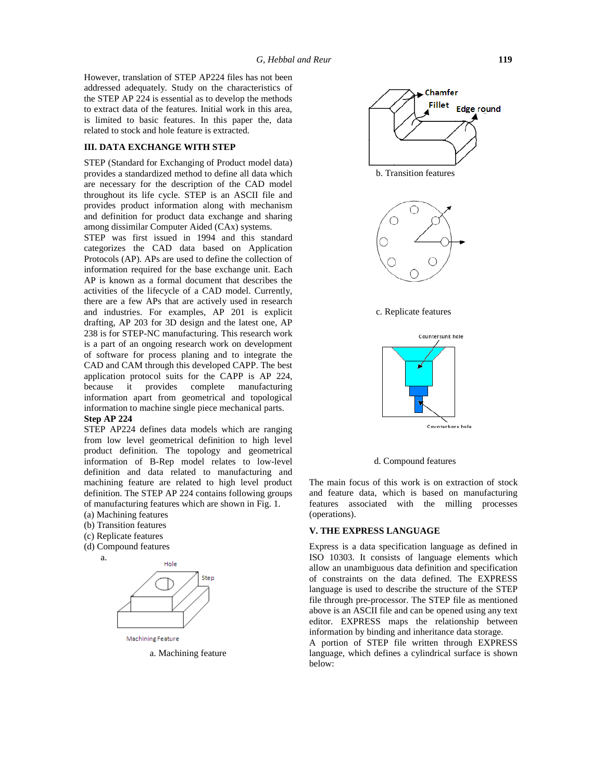However, translation of STEP AP224 files has not been addressed adequately. Study on the characteristics of the STEP AP 224 is essential as to develop the methods to extract data of the features. Initial work in this area, is limited to basic features. In this paper the, data related to stock and hole feature is extracted.

# **III. DATA EXCHANGE WITH STEP**

STEP (Standard for Exchanging of Product model data) provides a standardized method to define all data which are necessary for the description of the CAD model throughout its life cycle. STEP is an ASCII file and provides product information along with mechanism and definition for product data exchange and sharing among dissimilar Computer Aided (CAx) systems.

STEP was first issued in 1994 and this standard categorizes the CAD data based on Application Protocols (AP). APs are used to define the collection of information required for the base exchange unit. Each AP is known as a formal document that describes the activities of the lifecycle of a CAD model. Currently, there are a few APs that are actively used in research and industries. For examples, AP 201 is explicit drafting, AP 203 for 3D design and the latest one, AP 238 is for STEP-NC manufacturing. This research work is a part of an ongoing research work on development of software for process planing and to integrate the CAD and CAM through this developed CAPP. The best application protocol suits for the CAPP is AP 224, because it provides complete manufacturing information apart from geometrical and topological information to machine single piece mechanical parts.

### **Step AP 224**

STEP AP224 defines data models which are ranging from low level geometrical definition to high level product definition. The topology and geometrical information of B-Rep model relates to low-level definition and data related to manufacturing and machining feature are related to high level product definition. The STEP AP 224 contains following groups of manufacturing features which are shown in Fig. 1.

- (a) Machining features
- (b) Transition features
- (c) Replicate features
- (d) Compound features a.



Machining Feature a. Machining feature



b. Transition features



c. Replicate features



d. Compound features

The main focus of this work is on extraction of stock and feature data, which is based on manufacturing features associated with the milling processes (operations).

#### **V. THE EXPRESS LANGUAGE**

Express is a data specification language as defined in ISO 10303. It consists of language elements which allow an unambiguous data definition and specification of constraints on the data defined. The EXPRESS language is used to describe the structure of the STEP file through pre-processor. The STEP file as mentioned above is an ASCII file and can be opened using any text editor. EXPRESS maps the relationship between information by binding and inheritance data storage. A portion of STEP file written through EXPRESS language, which defines a cylindrical surface is shown below: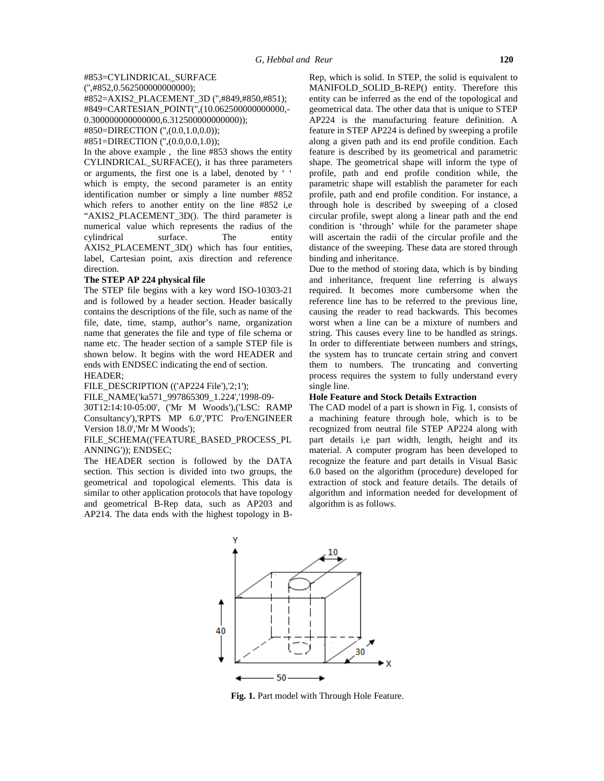#850=DIRECTION ('',(0.0,1.0,0.0));

#851=DIRECTION ('',(0.0,0.0,1.0));

In the above example , the line #853 shows the entity CYLINDRICAL\_SURFACE(), it has three parameters or arguments, the first one is a label, denoted by ' ' which is empty, the second parameter is an entity identification number or simply a line number #852 which refers to another entity on the line #852 i,e "AXIS2\_PLACEMENT\_3D(). The third parameter is numerical value which represents the radius of the cylindrical surface. The entity AXIS2\_PLACEMENT\_3D() which has four entities, label, Cartesian point, axis direction and reference direction.

# **The STEP AP 224 physical file**

The STEP file begins with a key word ISO-10303-21 and is followed by a header section. Header basically contains the descriptions of the file, such as name of the file, date, time, stamp, author's name, organization name that generates the file and type of file schema or name etc. The header section of a sample STEP file is shown below. It begins with the word HEADER and ends with ENDSEC indicating the end of section. HEADER;

FILE\_DESCRIPTION (('AP224 File'),'2;1');

FILE\_NAME('ka571\_997865309\_1.224','1998-09-

30T12:14:10-05:00', ('Mr M Woods'),('LSC: RAMP Consultancy'),'RPTS MP 6.0','PTC Pro/ENGINEER Version 18.0','Mr M Woods');

#### FILE\_SCHEMA(('FEATURE\_BASED\_PROCESS\_PL ANNING')); ENDSEC;

The HEADER section is followed by the DATA section. This section is divided into two groups, the geometrical and topological elements. This data is similar to other application protocols that have topology and geometrical B-Rep data, such as AP203 and AP214. The data ends with the highest topology in B-

Rep, which is solid. In STEP, the solid is equivalent to MANIFOLD\_SOLID\_B-REP() entity. Therefore this entity can be inferred as the end of the topological and geometrical data. The other data that is unique to STEP AP224 is the manufacturing feature definition. A feature in STEP AP224 is defined by sweeping a profile along a given path and its end profile condition. Each feature is described by its geometrical and parametric shape. The geometrical shape will inform the type of profile, path and end profile condition while, the parametric shape will establish the parameter for each profile, path and end profile condition. For instance, a through hole is described by sweeping of a closed circular profile, swept along a linear path and the end condition is 'through' while for the parameter shape will ascertain the radii of the circular profile and the distance of the sweeping. These data are stored through binding and inheritance.

Due to the method of storing data, which is by binding and inheritance, frequent line referring is always required. It becomes more cumbersome when the reference line has to be referred to the previous line, causing the reader to read backwards. This becomes worst when a line can be a mixture of numbers and string. This causes every line to be handled as strings. In order to differentiate between numbers and strings, the system has to truncate certain string and convert them to numbers. The truncating and converting process requires the system to fully understand every single line.

#### **Hole Feature and Stock Details Extraction**

The CAD model of a part is shown in Fig. 1, consists of a machining feature through hole, which is to be recognized from neutral file STEP AP224 along with part details i,e part width, length, height and its material. A computer program has been developed to recognize the feature and part details in Visual Basic 6.0 based on the algorithm (procedure) developed for extraction of stock and feature details. The details of algorithm and information needed for development of algorithm is as follows.



**Fig. 1.** Part model with Through Hole Feature.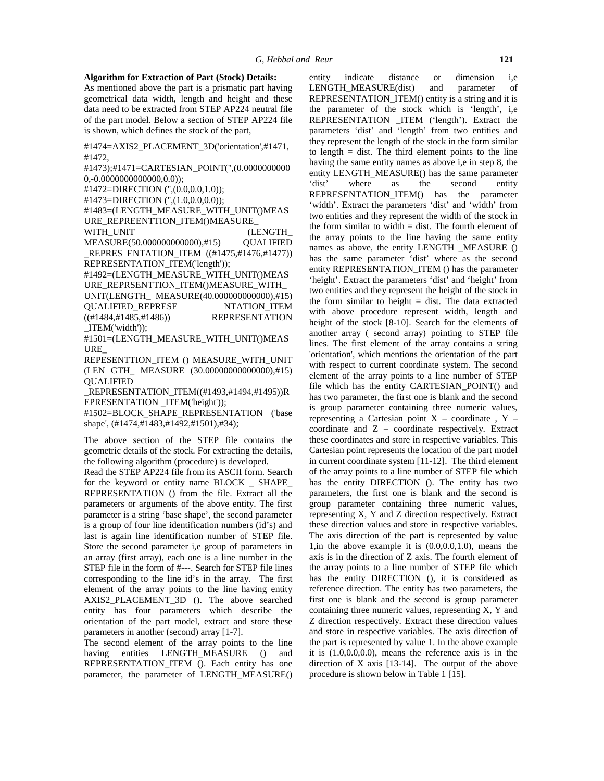#### **Algorithm for Extraction of Part (Stock) Details:**

As mentioned above the part is a prismatic part having geometrical data width, length and height and these data need to be extracted from STEP AP224 neutral file of the part model. Below a section of STEP AP224 file is shown, which defines the stock of the part,

#1474=AXIS2\_PLACEMENT\_3D('orientation',#1471, #1472,

#1473);#1471=CARTESIAN\_POINT('',(0.0000000000 0,-0.0000000000000,0.0));

#1472=DIRECTION ('',(0.0,0.0,1.0));

#1473=DIRECTION ('',(1.0,0.0,0.0));

#1483=(LENGTH\_MEASURE\_WITH\_UNIT()MEAS URE\_REPREENTTION\_ITEM()MEASURE\_ WITH\_UNIT (LENGTH

MEASURE(50.000000000000),#15) QUALIFIED \_REPRES ENTATION\_ITEM ((#1475,#1476,#1477)) REPRESENTATION\_ITEM('length'));

#1492=(LENGTH\_MEASURE\_WITH\_UNIT()MEAS URE\_REPRSENTTION\_ITEM()MEASURE\_WITH\_ UNIT(LENGTH\_ MEASURE(40.000000000000),#15) QUALIFIED\_REPRESE NTATION\_ITEM ((#1484,#1485,#1486)) REPRESENTATION \_ITEM('width'));

#1501=(LENGTH\_MEASURE\_WITH\_UNIT()MEAS URE\_

REPESENTTION\_ITEM () MEASURE\_WITH\_UNIT (LEN GTH\_ MEASURE (30.00000000000000),#15) QUALIFIED

\_REPRESENTATION\_ITEM((#1493,#1494,#1495))R EPRESENTATION ITEM('height'));

#1502=BLOCK\_SHAPE\_REPRESENTATION ('base shape', (#1474,#1483,#1492,#1501),#34);

The above section of the STEP file contains the geometric details of the stock. For extracting the details, the following algorithm (procedure) is developed.

Read the STEP AP224 file from its ASCII form. Search for the keyword or entity name BLOCK \_ SHAPE\_ REPRESENTATION () from the file. Extract all the parameters or arguments of the above entity. The first parameter is a string 'base shape', the second parameter is a group of four line identification numbers (id's) and last is again line identification number of STEP file. Store the second parameter i,e group of parameters in an array (first array), each one is a line number in the STEP file in the form of #---. Search for STEP file lines corresponding to the line id's in the array. The first element of the array points to the line having entity AXIS2\_PLACEMENT\_3D (). The above searched entity has four parameters which describe the orientation of the part model, extract and store these parameters in another (second) array [1-7].

The second element of the array points to the line having entities LENGTH\_MEASURE () and REPRESENTATION ITEM (). Each entity has one parameter, the parameter of LENGTH\_MEASURE() entity indicate distance or dimension i,e LENGTH\_MEASURE(dist) and parameter of REPRESENTATION\_ITEM() entity is a string and it is the parameter of the stock which is 'length', i,e REPRESENTATION \_ITEM ('length'). Extract the parameters 'dist' and 'length' from two entities and they represent the length of the stock in the form similar to length  $=$  dist. The third element points to the line having the same entity names as above i,e in step 8, the entity LENGTH\_MEASURE() has the same parameter 'dist' where as the second entity REPRESENTATION\_ITEM() has the parameter 'width'. Extract the parameters 'dist' and 'width' from two entities and they represent the width of the stock in the form similar to width  $=$  dist. The fourth element of the array points to the line having the same entity names as above, the entity LENGTH \_MEASURE () has the same parameter 'dist' where as the second entity REPRESENTATION\_ITEM () has the parameter 'height'. Extract the parameters 'dist' and 'height' from two entities and they represent the height of the stock in the form similar to height  $=$  dist. The data extracted with above procedure represent width, length and height of the stock [8-10]. Search for the elements of another array ( second array) pointing to STEP file lines. The first element of the array contains a string 'orientation', which mentions the orientation of the part with respect to current coordinate system. The second element of the array points to a line number of STEP file which has the entity CARTESIAN\_POINT() and has two parameter, the first one is blank and the second is group parameter containing three numeric values, representing a Cartesian point  $X$  – coordinate ,  $Y$  – coordinate and Z – coordinate respectively. Extract these coordinates and store in respective variables. This Cartesian point represents the location of the part model in current coordinate system [11-12]. The third element of the array points to a line number of STEP file which has the entity DIRECTION (). The entity has two parameters, the first one is blank and the second is group parameter containing three numeric values, representing X, Y and Z direction respectively. Extract these direction values and store in respective variables. The axis direction of the part is represented by value 1,in the above example it is  $(0.0, 0.0, 1.0)$ , means the axis is in the direction of Z axis. The fourth element of the array points to a line number of STEP file which has the entity DIRECTION (), it is considered as reference direction. The entity has two parameters, the first one is blank and the second is group parameter containing three numeric values, representing X, Y and Z direction respectively. Extract these direction values and store in respective variables. The axis direction of the part is represented by value 1. In the above example it is (1.0,0.0,0.0), means the reference axis is in the direction of X axis [13-14]. The output of the above procedure is shown below in Table 1 [15].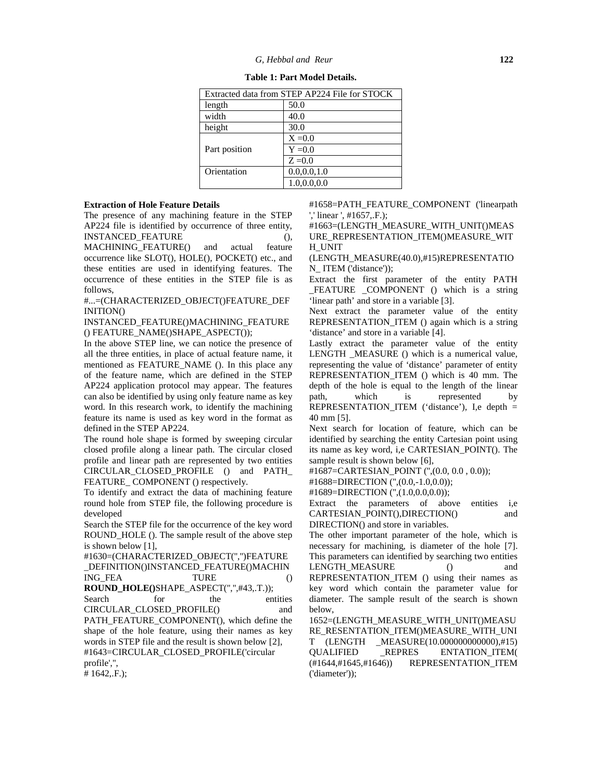| Extracted data from STEP AP224 File for STOCK |               |  |
|-----------------------------------------------|---------------|--|
| length                                        | 50.0          |  |
| width                                         | 40.0          |  |
| height                                        | 30.0          |  |
|                                               | $X = 0.0$     |  |
| Part position                                 | $Y = 0.0$     |  |
|                                               | $Z = 0.0$     |  |
| Orientation                                   | 0.0.0.0.1.0   |  |
|                                               | 1.0, 0.0, 0.0 |  |

| Table 1: Part Model Details. |  |
|------------------------------|--|
|------------------------------|--|

#### **Extraction of Hole Feature Details**

The presence of any machining feature in the STEP AP224 file is identified by occurrence of three entity, INSTANCED\_FEATURE (),

MACHINING\_FEATURE() and actual feature occurrence like SLOT(), HOLE(), POCKET() etc., and these entities are used in identifying features. The occurrence of these entities in the STEP file is as follows,

#...=(CHARACTERIZED\_OBJECT()FEATURE\_DEF INITION()

INSTANCED\_FEATURE()MACHINING\_FEATURE () FEATURE\_NAME()SHAPE\_ASPECT());

In the above STEP line, we can notice the presence of all the three entities, in place of actual feature name, it mentioned as FEATURE\_NAME (). In this place any of the feature name, which are defined in the STEP AP224 application protocol may appear. The features can also be identified by using only feature name as key word. In this research work, to identify the machining feature its name is used as key word in the format as defined in the STEP AP224.

The round hole shape is formed by sweeping circular closed profile along a linear path. The circular closed profile and linear path are represented by two entities CIRCULAR\_CLOSED\_PROFILE () and PATH\_ FEATURE\_COMPONENT () respectively.

To identify and extract the data of machining feature round hole from STEP file, the following procedure is developed

Search the STEP file for the occurrence of the key word ROUND\_HOLE (). The sample result of the above step is shown below [1],

#1630=(CHARACTERIZED\_OBJECT('','')FEATURE \_DEFINITION()INSTANCED\_FEATURE()MACHIN ING\_FEA TURE () **ROUND\_HOLE()**SHAPE\_ASPECT('','',#43,.T.)); Search for the entities dia CIRCULAR\_CLOSED\_PROFILE() and PATH\_FEATURE\_COMPONENT(), which define the shape of the hole feature, using their names as key words in STEP file and the result is shown below [2], #1643=CIRCULAR\_CLOSED\_PROFILE('circular profile','',

# 1642,.F.);

#1658=PATH\_FEATURE\_COMPONENT ('linearpath ',' linear ', #1657,.F.);

#1663=(LENGTH\_MEASURE\_WITH\_UNIT()MEAS URE\_REPRESENTATION\_ITEM()MEASURE\_WIT H\_UNIT

(LENGTH\_MEASURE(40.0),#15)REPRESENTATIO N ITEM ('distance'));

Extract the first parameter of the entity PATH \_FEATURE \_COMPONENT () which is a string 'linear path' and store in a variable [3].

Next extract the parameter value of the entity REPRESENTATION ITEM () again which is a string 'distance' and store in a variable [4].

Lastly extract the parameter value of the entity LENGTH \_MEASURE () which is a numerical value, representing the value of 'distance' parameter of entity REPRESENTATION\_ITEM () which is 40 mm. The depth of the hole is equal to the length of the linear which is represented by REPRESENTATION\_ITEM ('distance'), I,e depth = 40 mm [5].

Next search for location of feature, which can be identified by searching the entity Cartesian point using its name as key word, i,e CARTESIAN\_POINT(). The sample result is shown below [6],

#1687=CARTESIAN\_POINT ('',(0.0, 0.0 , 0.0));

#1688=DIRECTION ('',(0.0,-1.0,0.0));

#1689=DIRECTION ('',(1.0,0.0,0.0));

Extract the parameters of above entities i,e CARTESIAN\_POINT(),DIRECTION() and DIRECTION() and store in variables.

The other important parameter of the hole, which is necessary for machining, is diameter of the hole [7]. This parameters can identified by searching two entities LENGTH\_MEASURE () and REPRESENTATION\_ITEM () using their names as key word which contain the parameter value for diameter. The sample result of the search is shown below,

1652=(LENGTH\_MEASURE\_WITH\_UNIT()MEASU RE\_RESENTATION\_ITEM()MEASURE\_WITH\_UNI T (LENGTH \_MEASURE(10.000000000000),#15) QUALIFIED \_REPRES ENTATION\_ITEM( (#1644,#1645,#1646)) REPRESENTATION\_ITEM ('diameter'));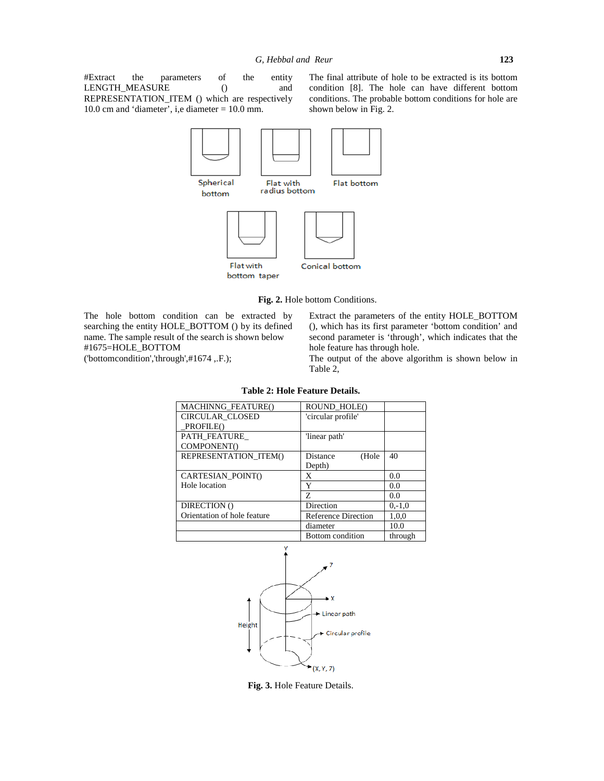#Extract the parameters of the entity LENGTH\_MEASURE () and REPRESENTATION\_ITEM () which are respectively 10.0 cm and 'diameter', i,e diameter = 10.0 mm.

The final attribute of hole to be extracted is its bottom condition [8]. The hole can have different bottom conditions. The probable bottom conditions for hole are shown below in Fig. 2.



**Fig. 2.** Hole bottom Conditions.

The hole bottom condition can be extracted by searching the entity HOLE\_BOTTOM () by its defined name. The sample result of the search is shown below #1675=HOLE\_BOTTOM ('bottomcondition','through',#1674 ,.F.);

Extract the parameters of the entity HOLE\_BOTTOM (), which has its first parameter 'bottom condition' and second parameter is 'through', which indicates that the hole feature has through hole.

The output of the above algorithm is shown below in Table 2,

| MACHINNG_FEATURE()          | ROUND_HOLE()               |          |
|-----------------------------|----------------------------|----------|
| <b>CIRCULAR CLOSED</b>      | 'circular profile'         |          |
| PROFILE()                   |                            |          |
| PATH_FEATURE                | 'linear path'              |          |
| COMPONENT()                 |                            |          |
| REPRESENTATION ITEMO        | (Hole<br>Distance          | 40       |
|                             | Depth)                     |          |
| CARTESIAN POINT()           | X                          | 0.0      |
| Hole location               | Y                          | 0.0      |
|                             | Z                          | 0.0      |
| DIRECTION ()                | Direction                  | $0,-1,0$ |
| Orientation of hole feature | <b>Reference Direction</b> | 1,0,0    |
|                             | diameter                   | 10.0     |
|                             | <b>Bottom</b> condition    | through  |

**Table 2: Hole Feature Details.**



**Fig. 3.** Hole Feature Details.